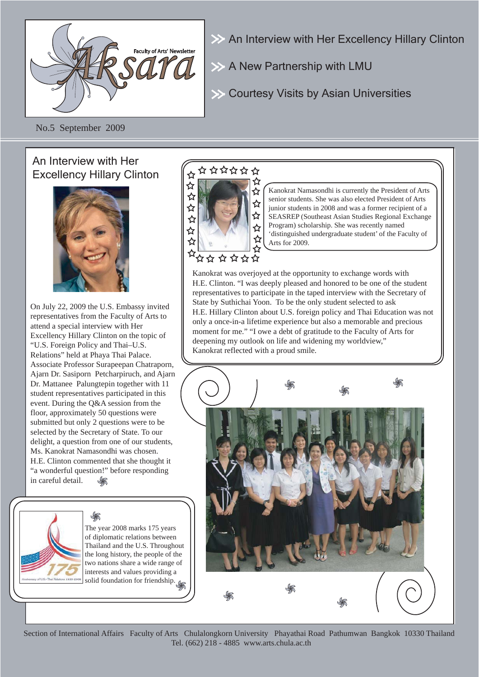

An Interview with Her Excellency Hillary Clinton

 $\gg$  A New Partnership with LMU

**EXACTES** Courtesy Visits by Asian Universities

No.5 September 2009

### An Interview with Her Excellency Hillary Clinton



On July 22, 2009 the U.S. Embassy invited representatives from the Faculty of Arts to attend a special interview with Her Excellency Hillary Clinton on the topic of "U.S. Foreign Policy and Thai–U.S. Relations" held at Phaya Thai Palace. Associate Professor Surapeepan Chatraporn, Ajarn Dr. Sasiporn Petcharpiruch, and Ajarn Dr. Mattanee Palungtepin together with 11 student representatives participated in this event. During the Q&A session from the floor, approximately 50 questions were submitted but only 2 questions were to be selected by the Secretary of State. To our delight, a question from one of our students, Ms. Kanokrat Namasondhi was chosen. H.E. Clinton commented that she thought it "a wonderful question!" before responding in careful detail.

> The year 2008 marks 175 years of diplomatic relations between Thailand and the U.S. Throughout the long history, the people of the two nations share a wide range of interests and values providing a solid foundation for friendship.

## ☆☆☆☆☆☆



Kanokrat Namasondhi is currently the President of Arts senior students. She was also elected President of Arts junior students in 2008 and was a former recipient of a SEASREP (Southeast Asian Studies Regional Exchange Program) scholarship. She was recently named 'distinguished undergraduate student' of the Faculty of Arts for 2009.

Kanokrat was overjoyed at the opportunity to exchange words with H.E. Clinton. "I was deeply pleased and honored to be one of the student representatives to participate in the taped interview with the Secretary of State by Suthichai Yoon. To be the only student selected to ask H.E. Hillary Clinton about U.S. foreign policy and Thai Education was not only a once-in-a lifetime experience but also a memorable and precious moment for me." "I owe a debt of gratitude to the Faculty of Arts for deepening my outlook on life and widening my worldview," Kanokrat reflected with a proud smile.



Section of International Affairs Faculty of Arts Chulalongkorn University Phayathai Road Pathumwan Bangkok 10330 Thailand Tel. (662) 218 - 4885 www.arts.chula.ac.th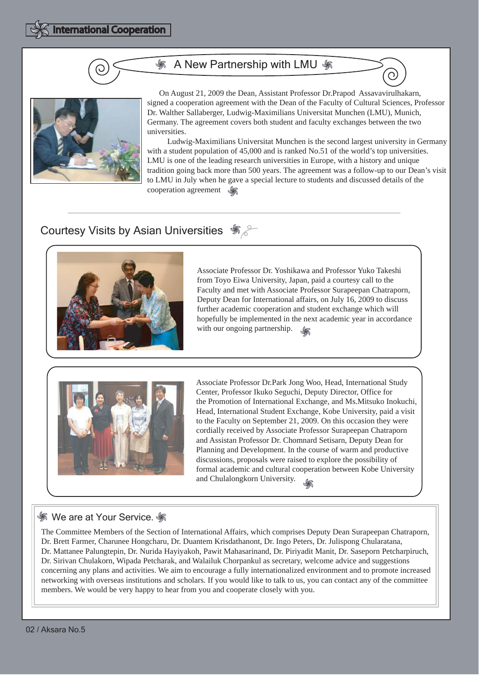#### A New Partnership with LMU  $\frac{2}{30}$



 On August 21, 2009 the Dean, Assistant Professor Dr.Prapod Assavavirulhakarn, signed a cooperation agreement with the Dean of the Faculty of Cultural Sciences, Professor Dr. Walther Sallaberger, Ludwig-Maximilians Universitat Munchen (LMU), Munich, Germany. The agreement covers both student and faculty exchanges between the two universities.

 Ludwig-Maximilians Universitat Munchen is the second largest university in Germany with a student population of 45,000 and is ranked No.51 of the world's top universities. LMU is one of the leading research universities in Europe, with a history and unique tradition going back more than 500 years. The agreement was a follow-up to our Dean's visit to LMU in July when he gave a special lecture to students and discussed details of the cooperation agreement  $\mathscr{L}$ 

### **Courtesy Visits by Asian Universities**  $\frac{1}{2}$



Associate Professor Dr. Yoshikawa and Professor Yuko Takeshi from Toyo Eiwa University, Japan, paid a courtesy call to the Faculty and met with Associate Professor Surapeepan Chatraporn, Deputy Dean for International affairs, on July 16, 2009 to discuss further academic cooperation and student exchange which will hopefully be implemented in the next academic year in accordance with our ongoing partnership.



Associate Professor Dr.Park Jong Woo, Head, International Study Center, Professor Ikuko Seguchi, Deputy Director, Office for the Promotion of International Exchange, and Ms.Mitsuko Inokuchi, Head, International Student Exchange, Kobe University, paid a visit to the Faculty on September 21, 2009. On this occasion they were cordially received by Associate Professor Surapeepan Chatraporn and Assistan Professor Dr. Chomnard Setisarn, Deputy Dean for Planning and Development. In the course of warm and productive discussions, proposals were raised to explore the possibility of formal academic and cultural cooperation between Kobe University and Chulalongkorn University.

#### **We are at Your Service.**  $\mathscr$

The Committee Members of the Section of International Affairs, which comprises Deputy Dean Surapeepan Chatraporn, Dr. Brett Farmer, Charunee Hongcharu, Dr. Duantem Krisdathanont, Dr. Ingo Peters, Dr. Julispong Chularatana, Dr. Mattanee Palungtepin, Dr. Nurida Hayiyakoh, Pawit Mahasarinand, Dr. Piriyadit Manit, Dr. Saseporn Petcharpiruch, Dr. Sirivan Chulakorn, Wipada Petcharak, and Walailuk Chorpankul as secretary, welcome advice and suggestions concerning any plans and activities. We aim to encourage a fully internationalized environment and to promote increased networking with overseas institutions and scholars. If you would like to talk to us, you can contact any of the committee members. We would be very happy to hear from you and cooperate closely with you.